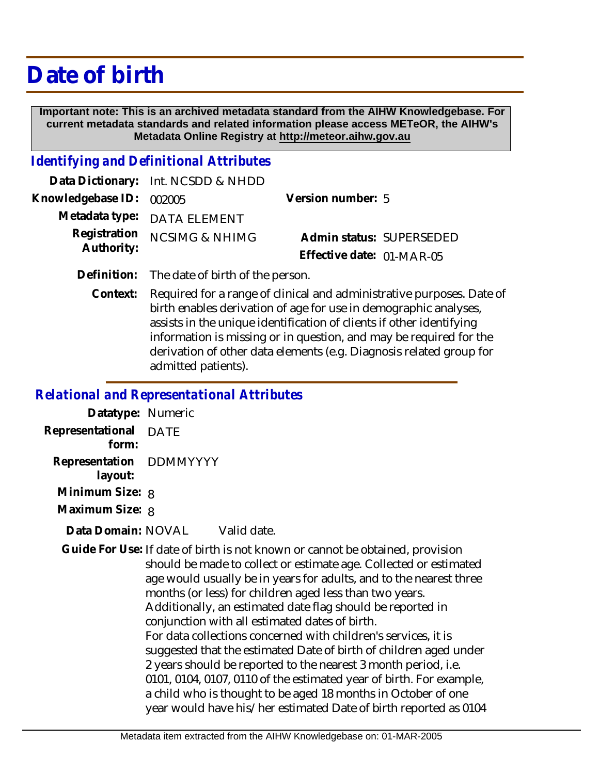# **Date of birth**

 **Important note: This is an archived metadata standard from the AIHW Knowledgebase. For current metadata standards and related information please access METeOR, the AIHW's Metadata Online Registry at http://meteor.aihw.gov.au**

### *Identifying and Definitional Attributes*

|                          | Data Dictionary: Int. NCSDD & NHDD |                           |  |
|--------------------------|------------------------------------|---------------------------|--|
| Knowledgebase ID: 002005 |                                    | Version number: 5         |  |
|                          | Metadata type: DATA ELEMENT        |                           |  |
|                          | Registration NCSIMG & NHIMG        | Admin status: SUPERSEDED  |  |
| Authority:               |                                    | Effective date: 01-MAR-05 |  |
|                          |                                    |                           |  |

**Definition:** The date of birth of the person.

Required for a range of clinical and administrative purposes. Date of birth enables derivation of age for use in demographic analyses, assists in the unique identification of clients if other identifying information is missing or in question, and may be required for the derivation of other data elements (e.g. Diagnosis related group for admitted patients). **Context:**

### *Relational and Representational Attributes*

| Datatype: Numeric       |      |
|-------------------------|------|
| Representational        | DATE |
| form:                   |      |
| Representation DDMMYYYY |      |
| layout:                 |      |
| Minimum Size: 8         |      |
| Maximum Size: 8         |      |
|                         |      |

#### Valid date. **Data Domain:**

Guide For Use: If date of birth is not known or cannot be obtained, provision should be made to collect or estimate age. Collected or estimated age would usually be in years for adults, and to the nearest three months (or less) for children aged less than two years. Additionally, an estimated date flag should be reported in conjunction with all estimated dates of birth. For data collections concerned with children's services, it is suggested that the estimated Date of birth of children aged under 2 years should be reported to the nearest 3 month period, i.e. 0101, 0104, 0107, 0110 of the estimated year of birth. For example, a child who is thought to be aged 18 months in October of one year would have his/her estimated Date of birth reported as 0104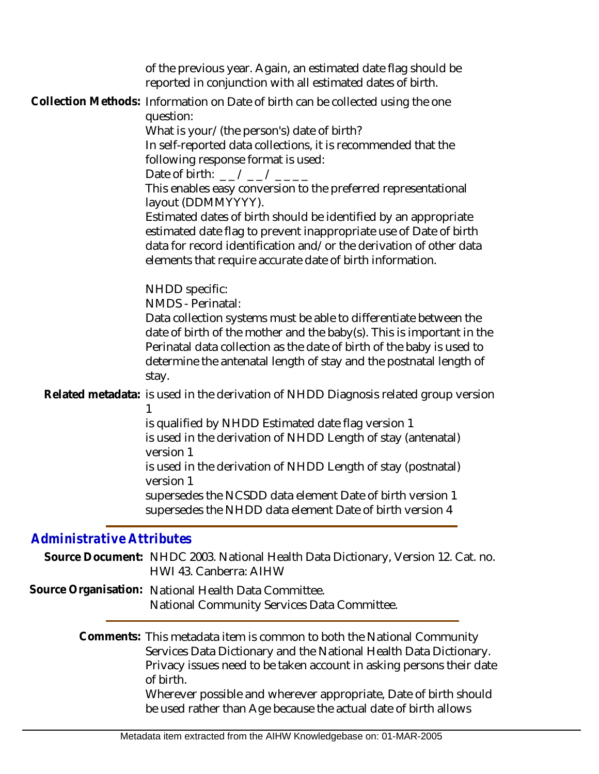|                                  | of the previous year. Again, an estimated date flag should be<br>reported in conjunction with all estimated dates of birth.                                                                                                                                                                                                                                     |
|----------------------------------|-----------------------------------------------------------------------------------------------------------------------------------------------------------------------------------------------------------------------------------------------------------------------------------------------------------------------------------------------------------------|
|                                  | Collection Methods: Information on Date of birth can be collected using the one<br>question:                                                                                                                                                                                                                                                                    |
|                                  | What is your/(the person's) date of birth?<br>In self-reported data collections, it is recommended that the<br>following response format is used:<br>Date of birth: $-$ / $-$ / $-$ / $  -$                                                                                                                                                                     |
|                                  | This enables easy conversion to the preferred representational<br>layout (DDMMYYYY).<br>Estimated dates of birth should be identified by an appropriate<br>estimated date flag to prevent inappropriate use of Date of birth<br>data for record identification and/or the derivation of other data<br>elements that require accurate date of birth information. |
|                                  | NHDD specific:<br>NMDS - Perinatal:<br>Data collection systems must be able to differentiate between the<br>date of birth of the mother and the baby(s). This is important in the<br>Perinatal data collection as the date of birth of the baby is used to<br>determine the antenatal length of stay and the postnatal length of<br>stay.                       |
|                                  | Related metadata: is used in the derivation of NHDD Diagnosis related group version                                                                                                                                                                                                                                                                             |
|                                  | is qualified by NHDD Estimated date flag version 1<br>is used in the derivation of NHDD Length of stay (antenatal)<br>version 1                                                                                                                                                                                                                                 |
|                                  | is used in the derivation of NHDD Length of stay (postnatal)<br>version 1                                                                                                                                                                                                                                                                                       |
|                                  | supersedes the NCSDD data element Date of birth version 1<br>supersedes the NHDD data element Date of birth version 4                                                                                                                                                                                                                                           |
| <b>Administrative Attributes</b> |                                                                                                                                                                                                                                                                                                                                                                 |
|                                  | Source Document: NHDC 2003. National Health Data Dictionary, Version 12. Cat. no.<br>HWI 43. Canberra: AIHW                                                                                                                                                                                                                                                     |
|                                  | Source Organisation: National Health Data Committee.<br>National Community Services Data Committee.                                                                                                                                                                                                                                                             |
|                                  | Comments: This metadata item is common to both the National Community<br>Services Data Dictionary and the National Health Data Dictionary.<br>Privacy issues need to be taken account in asking persons their date<br>of birth.                                                                                                                                 |

Wherever possible and wherever appropriate, Date of birth should be used rather than Age because the actual date of birth allows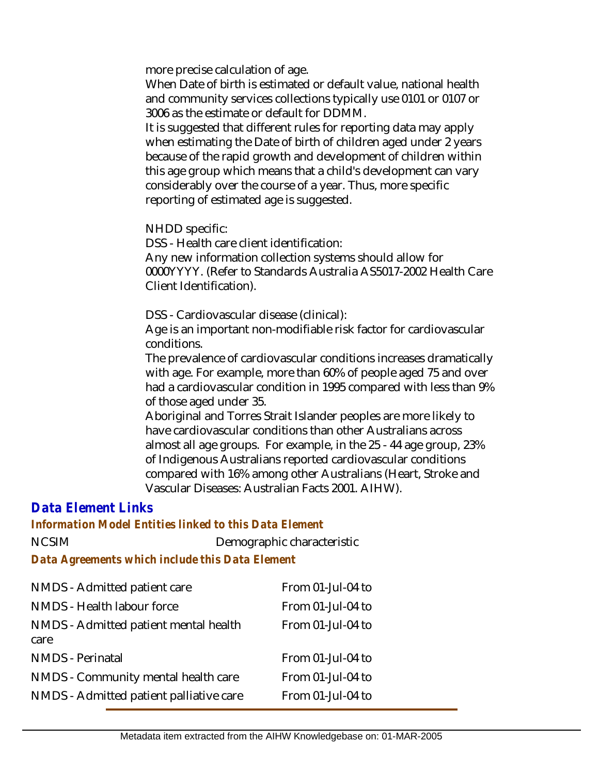more precise calculation of age.

When Date of birth is estimated or default value, national health and community services collections typically use 0101 or 0107 or 3006 as the estimate or default for DDMM.

It is suggested that different rules for reporting data may apply when estimating the Date of birth of children aged under 2 years because of the rapid growth and development of children within this age group which means that a child's development can vary considerably over the course of a year. Thus, more specific reporting of estimated age is suggested.

NHDD specific:

DSS - Health care client identification:

Any new information collection systems should allow for 0000YYYY. (Refer to Standards Australia AS5017-2002 Health Care Client Identification).

DSS - Cardiovascular disease (clinical):

Age is an important non-modifiable risk factor for cardiovascular conditions.

The prevalence of cardiovascular conditions increases dramatically with age. For example, more than 60% of people aged 75 and over had a cardiovascular condition in 1995 compared with less than 9% of those aged under 35.

Aboriginal and Torres Strait Islander peoples are more likely to have cardiovascular conditions than other Australians across almost all age groups. For example, in the 25 - 44 age group, 23% of Indigenous Australians reported cardiovascular conditions compared with 16% among other Australians (Heart, Stroke and Vascular Diseases: Australian Facts 2001. AIHW).

## *Data Element Links*

### *Information Model Entities linked to this Data Element*

NCSIM Demographic characteristic

*Data Agreements which include this Data Element*

| NMDS - Admitted patient care                  | From 01-Jul-04 to |
|-----------------------------------------------|-------------------|
| NMDS - Health labour force                    | From 01-Jul-04 to |
| NMDS - Admitted patient mental health<br>care | From 01-Jul-04 to |
| <b>NMDS</b> - Perinatal                       | From 01-Jul-04 to |
| NMDS - Community mental health care           | From 01-Jul-04 to |
| NMDS - Admitted patient palliative care       | From 01-Jul-04 to |